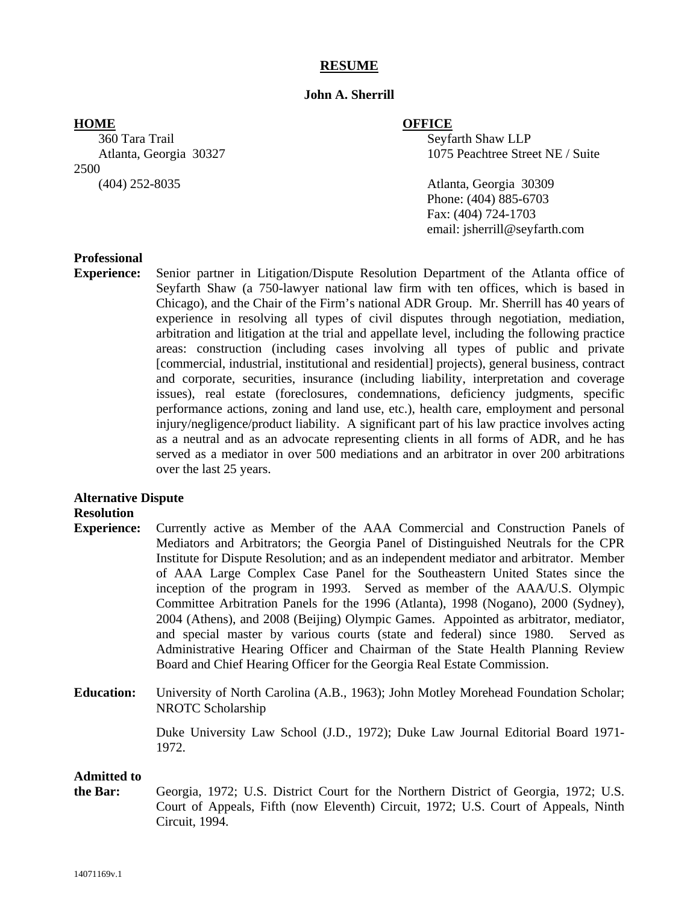# **RESUME**

### **John A. Sherrill**

360 Tara Trail Seyfarth Shaw LLP 2500

### **HOME OFFICE**

Atlanta, Georgia 30327 1075 Peachtree Street NE / Suite

(404) 252-8035 Atlanta, Georgia 30309 Phone: (404) 885-6703 Fax: (404) 724-1703 email: jsherrill@seyfarth.com

### **Professional**

**Experience:** Senior partner in Litigation/Dispute Resolution Department of the Atlanta office of Seyfarth Shaw (a 750-lawyer national law firm with ten offices, which is based in Chicago), and the Chair of the Firm's national ADR Group. Mr. Sherrill has 40 years of experience in resolving all types of civil disputes through negotiation, mediation, arbitration and litigation at the trial and appellate level, including the following practice areas: construction (including cases involving all types of public and private [commercial, industrial, institutional and residential] projects), general business, contract and corporate, securities, insurance (including liability, interpretation and coverage issues), real estate (foreclosures, condemnations, deficiency judgments, specific performance actions, zoning and land use, etc.), health care, employment and personal injury/negligence/product liability. A significant part of his law practice involves acting as a neutral and as an advocate representing clients in all forms of ADR, and he has served as a mediator in over 500 mediations and an arbitrator in over 200 arbitrations over the last 25 years.

# **Alternative Dispute**

#### **Resolution**

- **Experience:** Currently active as Member of the AAA Commercial and Construction Panels of Mediators and Arbitrators; the Georgia Panel of Distinguished Neutrals for the CPR Institute for Dispute Resolution; and as an independent mediator and arbitrator. Member of AAA Large Complex Case Panel for the Southeastern United States since the inception of the program in 1993. Served as member of the AAA/U.S. Olympic Committee Arbitration Panels for the 1996 (Atlanta), 1998 (Nogano), 2000 (Sydney), 2004 (Athens), and 2008 (Beijing) Olympic Games. Appointed as arbitrator, mediator, and special master by various courts (state and federal) since 1980. Served as Administrative Hearing Officer and Chairman of the State Health Planning Review Board and Chief Hearing Officer for the Georgia Real Estate Commission.
- **Education:** University of North Carolina (A.B., 1963); John Motley Morehead Foundation Scholar; NROTC Scholarship

 Duke University Law School (J.D., 1972); Duke Law Journal Editorial Board 1971- 1972.

#### **Admitted to**

**the Bar:** Georgia, 1972; U.S. District Court for the Northern District of Georgia, 1972; U.S. Court of Appeals, Fifth (now Eleventh) Circuit, 1972; U.S. Court of Appeals, Ninth Circuit, 1994.